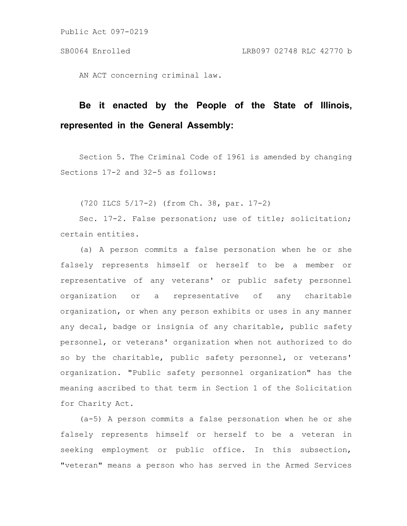AN ACT concerning criminal law.

# **Be it enacted by the People of the State of Illinois, represented in the General Assembly:**

Section 5. The Criminal Code of 1961 is amended by changing Sections 17-2 and 32-5 as follows:

(720 ILCS 5/17-2) (from Ch. 38, par. 17-2)

Sec. 17-2. False personation; use of title; solicitation; certain entities.

(a) A person commits a false personation when he or she falsely represents himself or herself to be a member or representative of any veterans' or public safety personnel organization or a representative of any charitable organization, or when any person exhibits or uses in any manner any decal, badge or insignia of any charitable, public safety personnel, or veterans' organization when not authorized to do so by the charitable, public safety personnel, or veterans' organization. "Public safety personnel organization" has the meaning ascribed to that term in Section 1 of the Solicitation for Charity Act.

(a-5) A person commits a false personation when he or she falsely represents himself or herself to be a veteran in seeking employment or public office. In this subsection, "veteran" means a person who has served in the Armed Services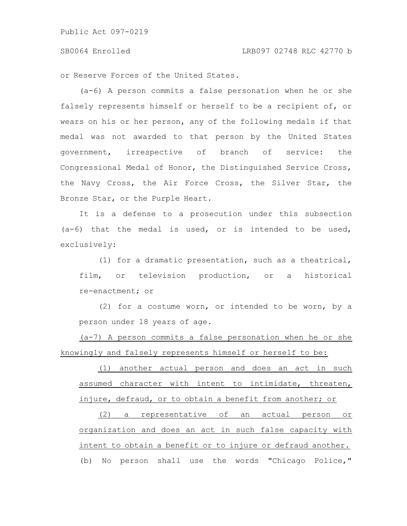### SB0064 Enrolled LRB097 02748 RLC 42770 b

or Reserve Forces of the United States.

(a-6) A person commits a false personation when he or she falsely represents himself or herself to be a recipient of, or wears on his or her person, any of the following medals if that medal was not awarded to that person by the United States government, irrespective of branch of service: the Congressional Medal of Honor, the Distinguished Service Cross, the Navy Cross, the Air Force Cross, the Silver Star, the Bronze Star, or the Purple Heart.

It is a defense to a prosecution under this subsection  $(a-6)$  that the medal is used, or is intended to be used, exclusively:

(1) for a dramatic presentation, such as a theatrical, film, or television production, or a historical re-enactment; or

(2) for a costume worn, or intended to be worn, by a person under 18 years of age.

(a-7) A person commits a false personation when he or she knowingly and falsely represents himself or herself to be:

(1) another actual person and does an act in such assumed character with intent to intimidate, threaten, injure, defraud, or to obtain a benefit from another; or

(2) a representative of an actual person or organization and does an act in such false capacity with intent to obtain a benefit or to injure or defraud another. (b) No person shall use the words "Chicago Police,"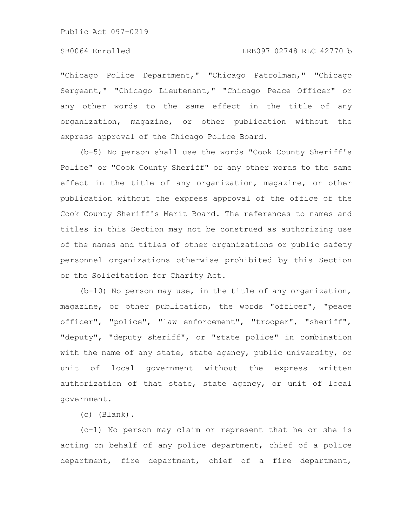"Chicago Police Department," "Chicago Patrolman," "Chicago Sergeant," "Chicago Lieutenant," "Chicago Peace Officer" or any other words to the same effect in the title of any organization, magazine, or other publication without the express approval of the Chicago Police Board.

(b-5) No person shall use the words "Cook County Sheriff's Police" or "Cook County Sheriff" or any other words to the same effect in the title of any organization, magazine, or other publication without the express approval of the office of the Cook County Sheriff's Merit Board. The references to names and titles in this Section may not be construed as authorizing use of the names and titles of other organizations or public safety personnel organizations otherwise prohibited by this Section or the Solicitation for Charity Act.

(b-10) No person may use, in the title of any organization, magazine, or other publication, the words "officer", "peace officer", "police", "law enforcement", "trooper", "sheriff", "deputy", "deputy sheriff", or "state police" in combination with the name of any state, state agency, public university, or unit of local government without the express written authorization of that state, state agency, or unit of local government.

(c) (Blank).

(c-1) No person may claim or represent that he or she is acting on behalf of any police department, chief of a police department, fire department, chief of a fire department,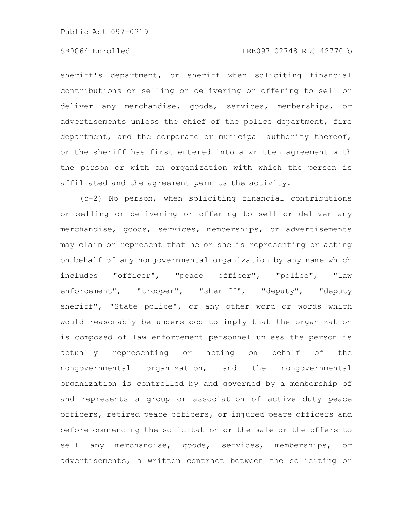# SB0064 Enrolled LRB097 02748 RLC 42770 b

sheriff's department, or sheriff when soliciting financial contributions or selling or delivering or offering to sell or deliver any merchandise, goods, services, memberships, or advertisements unless the chief of the police department, fire department, and the corporate or municipal authority thereof, or the sheriff has first entered into a written agreement with the person or with an organization with which the person is affiliated and the agreement permits the activity.

(c-2) No person, when soliciting financial contributions or selling or delivering or offering to sell or deliver any merchandise, goods, services, memberships, or advertisements may claim or represent that he or she is representing or acting on behalf of any nongovernmental organization by any name which includes "officer", "peace officer", "police", "law enforcement", "trooper", "sheriff", "deputy", "deputy sheriff", "State police", or any other word or words which would reasonably be understood to imply that the organization is composed of law enforcement personnel unless the person is actually representing or acting on behalf of the nongovernmental organization, and the nongovernmental organization is controlled by and governed by a membership of and represents a group or association of active duty peace officers, retired peace officers, or injured peace officers and before commencing the solicitation or the sale or the offers to sell any merchandise, goods, services, memberships, or advertisements, a written contract between the soliciting or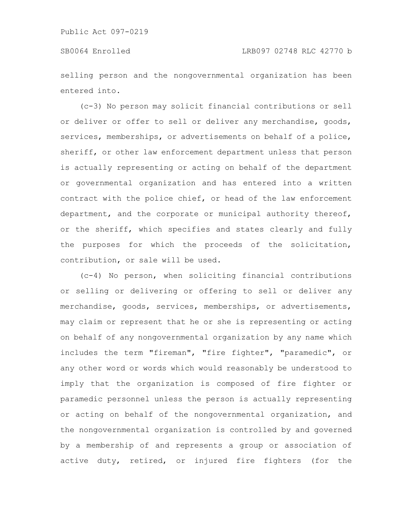selling person and the nongovernmental organization has been entered into.

(c-3) No person may solicit financial contributions or sell or deliver or offer to sell or deliver any merchandise, goods, services, memberships, or advertisements on behalf of a police, sheriff, or other law enforcement department unless that person is actually representing or acting on behalf of the department or governmental organization and has entered into a written contract with the police chief, or head of the law enforcement department, and the corporate or municipal authority thereof, or the sheriff, which specifies and states clearly and fully the purposes for which the proceeds of the solicitation, contribution, or sale will be used.

(c-4) No person, when soliciting financial contributions or selling or delivering or offering to sell or deliver any merchandise, goods, services, memberships, or advertisements, may claim or represent that he or she is representing or acting on behalf of any nongovernmental organization by any name which includes the term "fireman", "fire fighter", "paramedic", or any other word or words which would reasonably be understood to imply that the organization is composed of fire fighter or paramedic personnel unless the person is actually representing or acting on behalf of the nongovernmental organization, and the nongovernmental organization is controlled by and governed by a membership of and represents a group or association of active duty, retired, or injured fire fighters (for the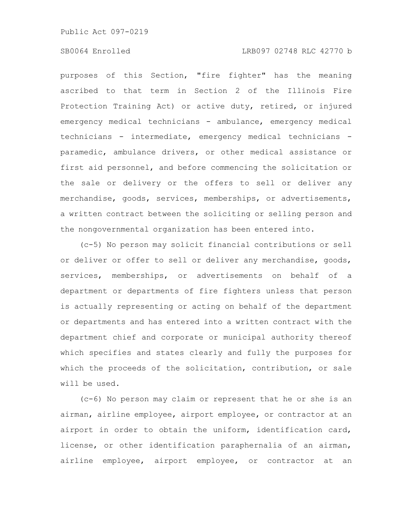# SB0064 Enrolled LRB097 02748 RLC 42770 b

purposes of this Section, "fire fighter" has the meaning ascribed to that term in Section 2 of the Illinois Fire Protection Training Act) or active duty, retired, or injured emergency medical technicians - ambulance, emergency medical technicians - intermediate, emergency medical technicians paramedic, ambulance drivers, or other medical assistance or first aid personnel, and before commencing the solicitation or the sale or delivery or the offers to sell or deliver any merchandise, goods, services, memberships, or advertisements, a written contract between the soliciting or selling person and the nongovernmental organization has been entered into.

(c-5) No person may solicit financial contributions or sell or deliver or offer to sell or deliver any merchandise, goods, services, memberships, or advertisements on behalf of a department or departments of fire fighters unless that person is actually representing or acting on behalf of the department or departments and has entered into a written contract with the department chief and corporate or municipal authority thereof which specifies and states clearly and fully the purposes for which the proceeds of the solicitation, contribution, or sale will be used.

(c-6) No person may claim or represent that he or she is an airman, airline employee, airport employee, or contractor at an airport in order to obtain the uniform, identification card, license, or other identification paraphernalia of an airman, airline employee, airport employee, or contractor at an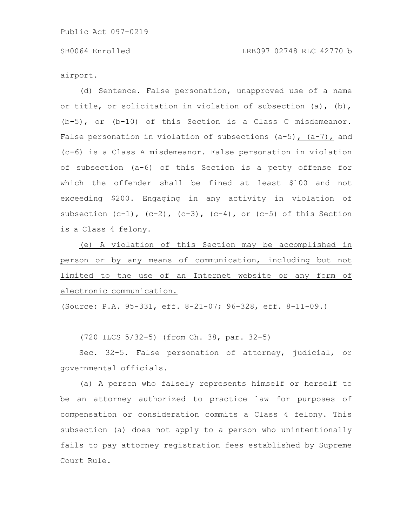airport.

(d) Sentence. False personation, unapproved use of a name or title, or solicitation in violation of subsection (a), (b), (b-5), or (b-10) of this Section is a Class C misdemeanor. False personation in violation of subsections  $(a-5)$ ,  $(a-7)$ , and (c-6) is a Class A misdemeanor. False personation in violation of subsection (a-6) of this Section is a petty offense for which the offender shall be fined at least \$100 and not exceeding \$200. Engaging in any activity in violation of subsection  $(c-1)$ ,  $(c-2)$ ,  $(c-3)$ ,  $(c-4)$ , or  $(c-5)$  of this Section is a Class 4 felony.

(e) A violation of this Section may be accomplished in person or by any means of communication, including but not limited to the use of an Internet website or any form of electronic communication.

(Source: P.A. 95-331, eff. 8-21-07; 96-328, eff. 8-11-09.)

(720 ILCS 5/32-5) (from Ch. 38, par. 32-5)

Sec. 32-5. False personation of attorney, judicial, or governmental officials.

(a) A person who falsely represents himself or herself to be an attorney authorized to practice law for purposes of compensation or consideration commits a Class 4 felony. This subsection (a) does not apply to a person who unintentionally fails to pay attorney registration fees established by Supreme Court Rule.